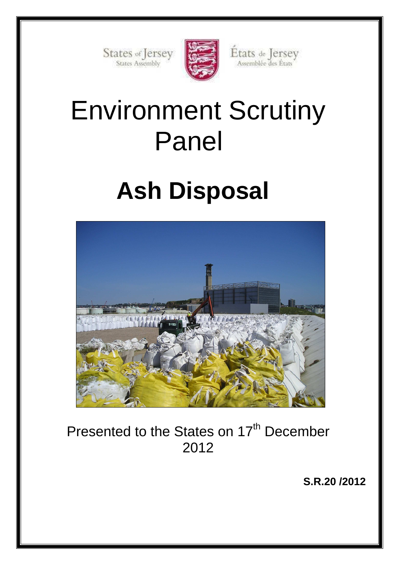States of Jersey



États de Jersey<br>Assemblée des États

# Environment Scrutiny Panel

# **Ash Disposal**



Presented to the States on 17<sup>th</sup> December 2012

**S.R.20 /2012**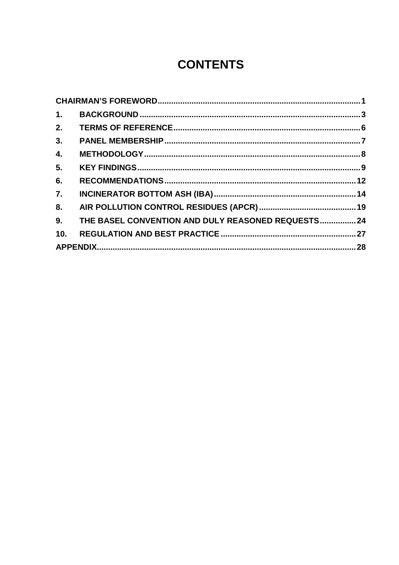# **CONTENTS**

| 2.              |                                                    |  |
|-----------------|----------------------------------------------------|--|
| 3.              |                                                    |  |
| 4.              |                                                    |  |
| 5.              |                                                    |  |
| 6.              |                                                    |  |
| 7.              |                                                    |  |
| 8.              |                                                    |  |
| 9.              | THE BASEL CONVENTION AND DULY REASONED REQUESTS 24 |  |
| 10 <sub>1</sub> |                                                    |  |
|                 |                                                    |  |
|                 |                                                    |  |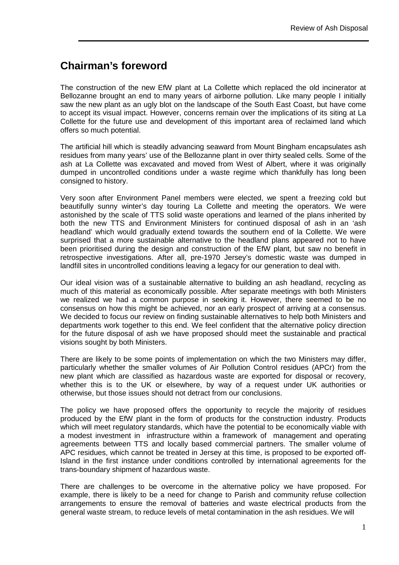# **Chairman's foreword**

The construction of the new EfW plant at La Collette which replaced the old incinerator at Bellozanne brought an end to many years of airborne pollution. Like many people I initially saw the new plant as an ugly blot on the landscape of the South East Coast, but have come to accept its visual impact. However, concerns remain over the implications of its siting at La Collette for the future use and development of this important area of reclaimed land which offers so much potential.

The artificial hill which is steadily advancing seaward from Mount Bingham encapsulates ash residues from many years' use of the Bellozanne plant in over thirty sealed cells. Some of the ash at La Collette was excavated and moved from West of Albert, where it was originally dumped in uncontrolled conditions under a waste regime which thankfully has long been consigned to history.

Very soon after Environment Panel members were elected, we spent a freezing cold but beautifully sunny winter's day touring La Collette and meeting the operators. We were astonished by the scale of TTS solid waste operations and learned of the plans inherited by both the new TTS and Environment Ministers for continued disposal of ash in an 'ash headland' which would gradually extend towards the southern end of la Collette. We were surprised that a more sustainable alternative to the headland plans appeared not to have been prioritised during the design and construction of the EfW plant, but saw no benefit in retrospective investigations. After all, pre-1970 Jersey's domestic waste was dumped in landfill sites in uncontrolled conditions leaving a legacy for our generation to deal with.

Our ideal vision was of a sustainable alternative to building an ash headland, recycling as much of this material as economically possible. After separate meetings with both Ministers we realized we had a common purpose in seeking it. However, there seemed to be no consensus on how this might be achieved, nor an early prospect of arriving at a consensus. We decided to focus our review on finding sustainable alternatives to help both Ministers and departments work together to this end. We feel confident that the alternative policy direction for the future disposal of ash we have proposed should meet the sustainable and practical visions sought by both Ministers.

There are likely to be some points of implementation on which the two Ministers may differ, particularly whether the smaller volumes of Air Pollution Control residues (APCr) from the new plant which are classified as hazardous waste are exported for disposal or recovery, whether this is to the UK or elsewhere, by way of a request under UK authorities or otherwise, but those issues should not detract from our conclusions.

The policy we have proposed offers the opportunity to recycle the majority of residues produced by the EfW plant in the form of products for the construction industry. Products which will meet regulatory standards, which have the potential to be economically viable with a modest investment in infrastructure within a framework of management and operating agreements between TTS and locally based commercial partners. The smaller volume of APC residues, which cannot be treated in Jersey at this time, is proposed to be exported off-Island in the first instance under conditions controlled by international agreements for the trans-boundary shipment of hazardous waste.

There are challenges to be overcome in the alternative policy we have proposed. For example, there is likely to be a need for change to Parish and community refuse collection arrangements to ensure the removal of batteries and waste electrical products from the general waste stream, to reduce levels of metal contamination in the ash residues. We will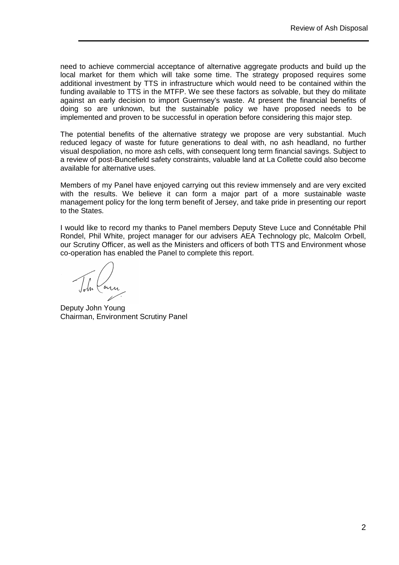need to achieve commercial acceptance of alternative aggregate products and build up the local market for them which will take some time. The strategy proposed requires some additional investment by TTS in infrastructure which would need to be contained within the funding available to TTS in the MTFP. We see these factors as solvable, but they do militate against an early decision to import Guernsey's waste. At present the financial benefits of doing so are unknown, but the sustainable policy we have proposed needs to be implemented and proven to be successful in operation before considering this major step.

The potential benefits of the alternative strategy we propose are very substantial. Much reduced legacy of waste for future generations to deal with, no ash headland, no further visual despoliation, no more ash cells, with consequent long term financial savings. Subject to a review of post-Buncefield safety constraints, valuable land at La Collette could also become available for alternative uses.

Members of my Panel have enjoyed carrying out this review immensely and are very excited with the results. We believe it can form a major part of a more sustainable waste management policy for the long term benefit of Jersey, and take pride in presenting our report to the States.

I would like to record my thanks to Panel members Deputy Steve Luce and Connétable Phil Rondel, Phil White, project manager for our advisers AEA Technology plc, Malcolm Orbell, our Scrutiny Officer, as well as the Ministers and officers of both TTS and Environment whose co-operation has enabled the Panel to complete this report.

Deputy John Young Chairman, Environment Scrutiny Panel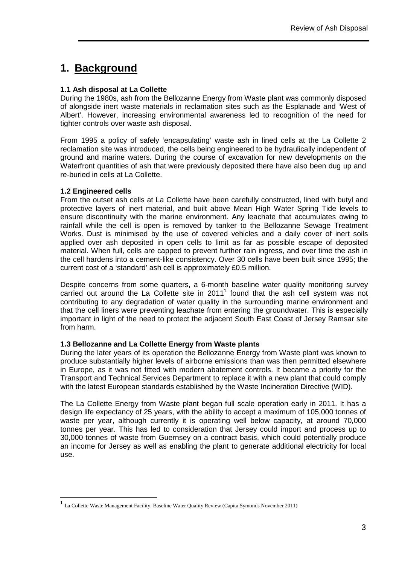# **1. Background**

# **1.1 Ash disposal at La Collette**

During the 1980s, ash from the Bellozanne Energy from Waste plant was commonly disposed of alongside inert waste materials in reclamation sites such as the Esplanade and 'West of Albert'. However, increasing environmental awareness led to recognition of the need for tighter controls over waste ash disposal.

From 1995 a policy of safely 'encapsulating' waste ash in lined cells at the La Collette 2 reclamation site was introduced, the cells being engineered to be hydraulically independent of ground and marine waters. During the course of excavation for new developments on the Waterfront quantities of ash that were previously deposited there have also been dug up and re-buried in cells at La Collette.

# **1.2 Engineered cells**

 $\overline{a}$ 

From the outset ash cells at La Collette have been carefully constructed, lined with butyl and protective layers of inert material, and built above Mean High Water Spring Tide levels to ensure discontinuity with the marine environment. Any leachate that accumulates owing to rainfall while the cell is open is removed by tanker to the Bellozanne Sewage Treatment Works. Dust is minimised by the use of covered vehicles and a daily cover of inert soils applied over ash deposited in open cells to limit as far as possible escape of deposited material. When full, cells are capped to prevent further rain ingress, and over time the ash in the cell hardens into a cement-like consistency. Over 30 cells have been built since 1995; the current cost of a 'standard' ash cell is approximately £0.5 million.

Despite concerns from some quarters, a 6-month baseline water quality monitoring survey carried out around the La Collette site in  $2011<sup>1</sup>$  found that the ash cell system was not contributing to any degradation of water quality in the surrounding marine environment and that the cell liners were preventing leachate from entering the groundwater. This is especially important in light of the need to protect the adjacent South East Coast of Jersey Ramsar site from harm.

# **1.3 Bellozanne and La Collette Energy from Waste plants**

During the later years of its operation the Bellozanne Energy from Waste plant was known to produce substantially higher levels of airborne emissions than was then permitted elsewhere in Europe, as it was not fitted with modern abatement controls. It became a priority for the Transport and Technical Services Department to replace it with a new plant that could comply with the latest European standards established by the Waste Incineration Directive (WID).

The La Collette Energy from Waste plant began full scale operation early in 2011. It has a design life expectancy of 25 years, with the ability to accept a maximum of 105,000 tonnes of waste per year, although currently it is operating well below capacity, at around 70,000 tonnes per year. This has led to consideration that Jersey could import and process up to 30,000 tonnes of waste from Guernsey on a contract basis, which could potentially produce an income for Jersey as well as enabling the plant to generate additional electricity for local use.

**<sup>1</sup>** La Collette Waste Management Facility. Baseline Water Quality Review (Capita Symonds November 2011)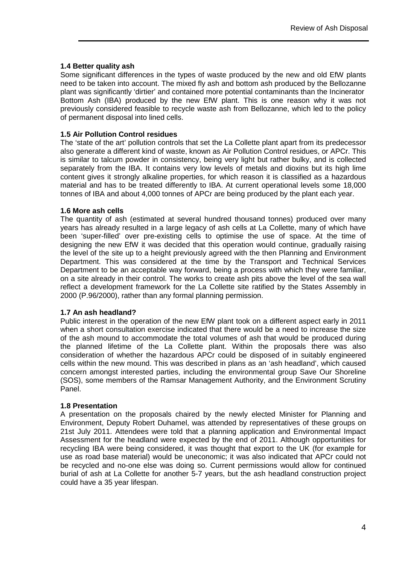# **1.4 Better quality ash**

Some significant differences in the types of waste produced by the new and old EfW plants need to be taken into account. The mixed fly ash and bottom ash produced by the Bellozanne plant was significantly 'dirtier' and contained more potential contaminants than the Incinerator Bottom Ash (IBA) produced by the new EfW plant. This is one reason why it was not previously considered feasible to recycle waste ash from Bellozanne, which led to the policy of permanent disposal into lined cells.

# **1.5 Air Pollution Control residues**

The 'state of the art' pollution controls that set the La Collette plant apart from its predecessor also generate a different kind of waste, known as Air Pollution Control residues, or APCr. This is similar to talcum powder in consistency, being very light but rather bulky, and is collected separately from the IBA. It contains very low levels of metals and dioxins but its high lime content gives it strongly alkaline properties, for which reason it is classified as a hazardous material and has to be treated differently to IBA. At current operational levels some 18,000 tonnes of IBA and about 4,000 tonnes of APCr are being produced by the plant each year.

# **1.6 More ash cells**

The quantity of ash (estimated at several hundred thousand tonnes) produced over many years has already resulted in a large legacy of ash cells at La Collette, many of which have been 'super-filled' over pre-existing cells to optimise the use of space. At the time of designing the new EfW it was decided that this operation would continue, gradually raising the level of the site up to a height previously agreed with the then Planning and Environment Department. This was considered at the time by the Transport and Technical Services Department to be an acceptable way forward, being a process with which they were familiar, on a site already in their control. The works to create ash pits above the level of the sea wall reflect a development framework for the La Collette site ratified by the States Assembly in 2000 (P.96/2000), rather than any formal planning permission.

# **1.7 An ash headland?**

Public interest in the operation of the new EfW plant took on a different aspect early in 2011 when a short consultation exercise indicated that there would be a need to increase the size of the ash mound to accommodate the total volumes of ash that would be produced during the planned lifetime of the La Collette plant. Within the proposals there was also consideration of whether the hazardous APCr could be disposed of in suitably engineered cells within the new mound. This was described in plans as an 'ash headland', which caused concern amongst interested parties, including the environmental group Save Our Shoreline (SOS), some members of the Ramsar Management Authority, and the Environment Scrutiny Panel.

# **1.8 Presentation**

A presentation on the proposals chaired by the newly elected Minister for Planning and Environment, Deputy Robert Duhamel, was attended by representatives of these groups on 21st July 2011. Attendees were told that a planning application and Environmental Impact Assessment for the headland were expected by the end of 2011. Although opportunities for recycling IBA were being considered, it was thought that export to the UK (for example for use as road base material) would be uneconomic; it was also indicated that APCr could not be recycled and no-one else was doing so. Current permissions would allow for continued burial of ash at La Collette for another 5-7 years, but the ash headland construction project could have a 35 year lifespan.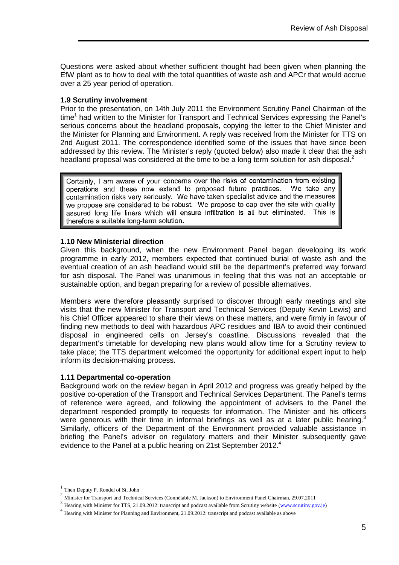Questions were asked about whether sufficient thought had been given when planning the EfW plant as to how to deal with the total quantities of waste ash and APCr that would accrue over a 25 year period of operation.

# **1.9 Scrutiny involvement**

Prior to the presentation, on 14th July 2011 the Environment Scrutiny Panel Chairman of the time<sup>1</sup> had written to the Minister for Transport and Technical Services expressing the Panel's serious concerns about the headland proposals, copying the letter to the Chief Minister and the Minister for Planning and Environment. A reply was received from the Minister for TTS on 2nd August 2011. The correspondence identified some of the issues that have since been addressed by this review. The Minister's reply (quoted below) also made it clear that the ash headland proposal was considered at the time to be a long term solution for ash disposal.<sup>2</sup>

Certainly. I am aware of your concerns over the risks of contamination from existing operations and these now extend to proposed future practices. We take any contamination risks very seriously. We have taken specialist advice and the measures we propose are considered to be robust. We propose to cap over the site with quality assured long life liners which will ensure infiltration is all but eliminated. This is therefore a suitable long-term solution.

# **1.10 New Ministerial direction**

Given this background, when the new Environment Panel began developing its work programme in early 2012, members expected that continued burial of waste ash and the eventual creation of an ash headland would still be the department's preferred way forward for ash disposal. The Panel was unanimous in feeling that this was not an acceptable or sustainable option, and began preparing for a review of possible alternatives.

Members were therefore pleasantly surprised to discover through early meetings and site visits that the new Minister for Transport and Technical Services (Deputy Kevin Lewis) and his Chief Officer appeared to share their views on these matters, and were firmly in favour of finding new methods to deal with hazardous APC residues and IBA to avoid their continued disposal in engineered cells on Jersey's coastline. Discussions revealed that the department's timetable for developing new plans would allow time for a Scrutiny review to take place; the TTS department welcomed the opportunity for additional expert input to help inform its decision-making process.

# **1.11 Departmental co-operation**

Background work on the review began in April 2012 and progress was greatly helped by the positive co-operation of the Transport and Technical Services Department. The Panel's terms of reference were agreed, and following the appointment of advisers to the Panel the department responded promptly to requests for information. The Minister and his officers were generous with their time in informal briefings as well as at a later public hearing.<sup>3</sup> Similarly, officers of the Department of the Environment provided valuable assistance in briefing the Panel's adviser on regulatory matters and their Minister subsequently gave evidence to the Panel at a public hearing on 21st September 2012. $4$ 

<sup>1</sup> Then Deputy P. Rondel of St. John

<sup>&</sup>lt;sup>2</sup> Minister for Transport and Technical Services (Connétable M. Jackson) to Environment Panel Chairman, 29.07.2011

 $3$  Hearing with Minister for TTS, 21.09.2012: transcript and podcast available from Scrutiny website (www.scrutiny.gov.je)

<sup>&</sup>lt;sup>4</sup> Hearing with Minister for Planning and Environment, 21.09.2012: transcript and podcast available as above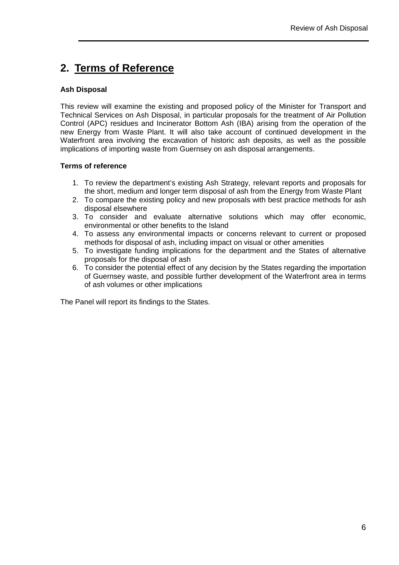# **2. Terms of Reference**

# **Ash Disposal**

This review will examine the existing and proposed policy of the Minister for Transport and Technical Services on Ash Disposal, in particular proposals for the treatment of Air Pollution Control (APC) residues and Incinerator Bottom Ash (IBA) arising from the operation of the new Energy from Waste Plant. It will also take account of continued development in the Waterfront area involving the excavation of historic ash deposits, as well as the possible implications of importing waste from Guernsey on ash disposal arrangements.

# **Terms of reference**

- 1. To review the department's existing Ash Strategy, relevant reports and proposals for the short, medium and longer term disposal of ash from the Energy from Waste Plant
- 2. To compare the existing policy and new proposals with best practice methods for ash disposal elsewhere
- 3. To consider and evaluate alternative solutions which may offer economic, environmental or other benefits to the Island
- 4. To assess any environmental impacts or concerns relevant to current or proposed methods for disposal of ash, including impact on visual or other amenities
- 5. To investigate funding implications for the department and the States of alternative proposals for the disposal of ash
- 6. To consider the potential effect of any decision by the States regarding the importation of Guernsey waste, and possible further development of the Waterfront area in terms of ash volumes or other implications

The Panel will report its findings to the States.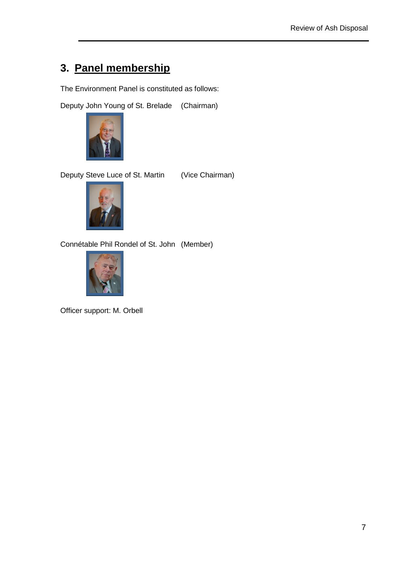# **3. Panel membership**

The Environment Panel is constituted as follows:

Deputy John Young of St. Brelade (Chairman)



Deputy Steve Luce of St. Martin (Vice Chairman)



Connétable Phil Rondel of St. John (Member)



Officer support: M. Orbell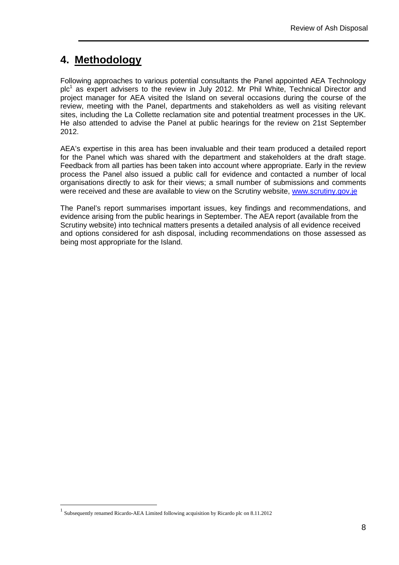# **4. Methodology**

Following approaches to various potential consultants the Panel appointed AEA Technology plc<sup>1</sup> as expert advisers to the review in July 2012. Mr Phil White, Technical Director and project manager for AEA visited the Island on several occasions during the course of the review, meeting with the Panel, departments and stakeholders as well as visiting relevant sites, including the La Collette reclamation site and potential treatment processes in the UK. He also attended to advise the Panel at public hearings for the review on 21st September 2012.

AEA's expertise in this area has been invaluable and their team produced a detailed report for the Panel which was shared with the department and stakeholders at the draft stage. Feedback from all parties has been taken into account where appropriate. Early in the review process the Panel also issued a public call for evidence and contacted a number of local organisations directly to ask for their views; a small number of submissions and comments were received and these are available to view on the Scrutiny website, www.scrutiny.gov.je

The Panel's report summarises important issues, key findings and recommendations, and evidence arising from the public hearings in September. The AEA report (available from the Scrutiny website) into technical matters presents a detailed analysis of all evidence received and options considered for ash disposal, including recommendations on those assessed as being most appropriate for the Island.

<sup>1</sup> Subsequently renamed Ricardo-AEA Limited following acquisition by Ricardo plc on 8.11.2012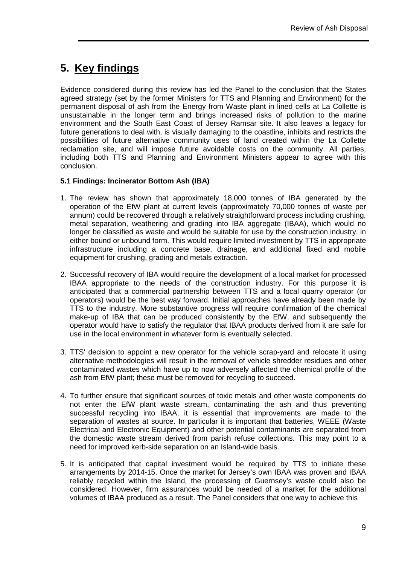# **5. Key findings**

Evidence considered during this review has led the Panel to the conclusion that the States agreed strategy (set by the former Ministers for TTS and Planning and Environment) for the permanent disposal of ash from the Energy from Waste plant in lined cells at La Collette is unsustainable in the longer term and brings increased risks of pollution to the marine environment and the South East Coast of Jersey Ramsar site. It also leaves a legacy for future generations to deal with, is visually damaging to the coastline, inhibits and restricts the possibilities of future alternative community uses of land created within the La Collette reclamation site, and will impose future avoidable costs on the community. All parties, including both TTS and Planning and Environment Ministers appear to agree with this conclusion.

# **5.1 Findings: Incinerator Bottom Ash (IBA)**

- 1. The review has shown that approximately 18,000 tonnes of IBA generated by the operation of the EfW plant at current levels (approximately 70,000 tonnes of waste per annum) could be recovered through a relatively straightforward process including crushing, metal separation, weathering and grading into IBA aggregate (IBAA), which would no longer be classified as waste and would be suitable for use by the construction industry, in either bound or unbound form. This would require limited investment by TTS in appropriate infrastructure including a concrete base, drainage, and additional fixed and mobile equipment for crushing, grading and metals extraction.
- 2. Successful recovery of IBA would require the development of a local market for processed IBAA appropriate to the needs of the construction industry. For this purpose it is anticipated that a commercial partnership between TTS and a local quarry operator (or operators) would be the best way forward. Initial approaches have already been made by TTS to the industry. More substantive progress will require confirmation of the chemical make-up of IBA that can be produced consistently by the EfW, and subsequently the operator would have to satisfy the regulator that IBAA products derived from it are safe for use in the local environment in whatever form is eventually selected.
- 3. TTS' decision to appoint a new operator for the vehicle scrap-yard and relocate it using alternative methodologies will result in the removal of vehicle shredder residues and other contaminated wastes which have up to now adversely affected the chemical profile of the ash from EfW plant; these must be removed for recycling to succeed.
- 4. To further ensure that significant sources of toxic metals and other waste components do not enter the EfW plant waste stream, contaminating the ash and thus preventing successful recycling into IBAA, it is essential that improvements are made to the separation of wastes at source. In particular it is important that batteries, WEEE (Waste Electrical and Electronic Equipment) and other potential contaminants are separated from the domestic waste stream derived from parish refuse collections. This may point to a need for improved kerb-side separation on an Island-wide basis.
- 5. It is anticipated that capital investment would be required by TTS to initiate these arrangements by 2014-15. Once the market for Jersey's own IBAA was proven and IBAA reliably recycled within the Island, the processing of Guernsey's waste could also be considered. However, firm assurances would be needed of a market for the additional volumes of IBAA produced as a result. The Panel considers that one way to achieve this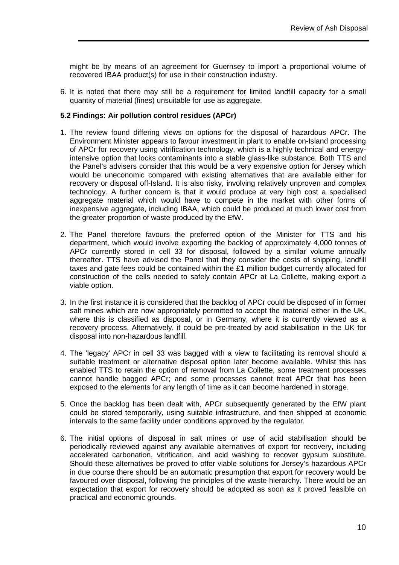might be by means of an agreement for Guernsey to import a proportional volume of recovered IBAA product(s) for use in their construction industry.

6. It is noted that there may still be a requirement for limited landfill capacity for a small quantity of material (fines) unsuitable for use as aggregate.

# **5.2 Findings: Air pollution control residues (APCr)**

- 1. The review found differing views on options for the disposal of hazardous APCr. The Environment Minister appears to favour investment in plant to enable on-Island processing of APCr for recovery using vitrification technology, which is a highly technical and energyintensive option that locks contaminants into a stable glass-like substance. Both TTS and the Panel's advisers consider that this would be a very expensive option for Jersey which would be uneconomic compared with existing alternatives that are available either for recovery or disposal off-Island. It is also risky, involving relatively unproven and complex technology. A further concern is that it would produce at very high cost a specialised aggregate material which would have to compete in the market with other forms of inexpensive aggregate, including IBAA, which could be produced at much lower cost from the greater proportion of waste produced by the EfW.
- 2. The Panel therefore favours the preferred option of the Minister for TTS and his department, which would involve exporting the backlog of approximately 4,000 tonnes of APCr currently stored in cell 33 for disposal, followed by a similar volume annually thereafter. TTS have advised the Panel that they consider the costs of shipping, landfill taxes and gate fees could be contained within the £1 million budget currently allocated for construction of the cells needed to safely contain APCr at La Collette, making export a viable option.
- 3. In the first instance it is considered that the backlog of APCr could be disposed of in former salt mines which are now appropriately permitted to accept the material either in the UK, where this is classified as disposal, or in Germany, where it is currently viewed as a recovery process. Alternatively, it could be pre-treated by acid stabilisation in the UK for disposal into non-hazardous landfill.
- 4. The 'legacy' APCr in cell 33 was bagged with a view to facilitating its removal should a suitable treatment or alternative disposal option later become available. Whilst this has enabled TTS to retain the option of removal from La Collette, some treatment processes cannot handle bagged APCr; and some processes cannot treat APCr that has been exposed to the elements for any length of time as it can become hardened in storage.
- 5. Once the backlog has been dealt with, APCr subsequently generated by the EfW plant could be stored temporarily, using suitable infrastructure, and then shipped at economic intervals to the same facility under conditions approved by the regulator.
- 6. The initial options of disposal in salt mines or use of acid stabilisation should be periodically reviewed against any available alternatives of export for recovery, including accelerated carbonation, vitrification, and acid washing to recover gypsum substitute. Should these alternatives be proved to offer viable solutions for Jersey's hazardous APCr in due course there should be an automatic presumption that export for recovery would be favoured over disposal, following the principles of the waste hierarchy. There would be an expectation that export for recovery should be adopted as soon as it proved feasible on practical and economic grounds.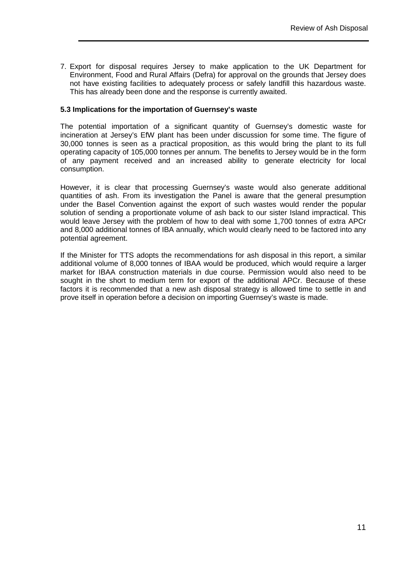7. Export for disposal requires Jersey to make application to the UK Department for Environment, Food and Rural Affairs (Defra) for approval on the grounds that Jersey does not have existing facilities to adequately process or safely landfill this hazardous waste. This has already been done and the response is currently awaited.

# **5.3 Implications for the importation of Guernsey's waste**

The potential importation of a significant quantity of Guernsey's domestic waste for incineration at Jersey's EfW plant has been under discussion for some time. The figure of 30,000 tonnes is seen as a practical proposition, as this would bring the plant to its full operating capacity of 105,000 tonnes per annum. The benefits to Jersey would be in the form of any payment received and an increased ability to generate electricity for local consumption.

However, it is clear that processing Guernsey's waste would also generate additional quantities of ash. From its investigation the Panel is aware that the general presumption under the Basel Convention against the export of such wastes would render the popular solution of sending a proportionate volume of ash back to our sister Island impractical. This would leave Jersey with the problem of how to deal with some 1,700 tonnes of extra APCr and 8,000 additional tonnes of IBA annually, which would clearly need to be factored into any potential agreement.

If the Minister for TTS adopts the recommendations for ash disposal in this report, a similar additional volume of 8,000 tonnes of IBAA would be produced, which would require a larger market for IBAA construction materials in due course. Permission would also need to be sought in the short to medium term for export of the additional APCr. Because of these factors it is recommended that a new ash disposal strategy is allowed time to settle in and prove itself in operation before a decision on importing Guernsey's waste is made.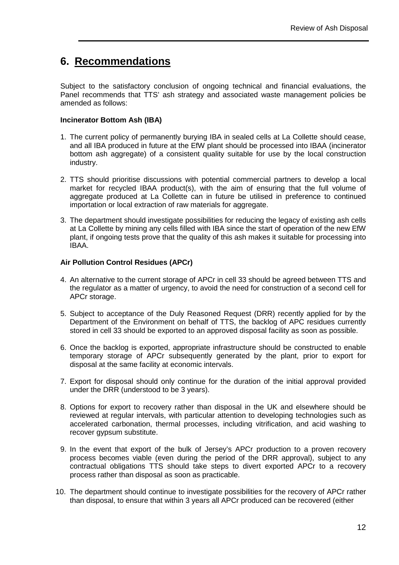# **6. Recommendations**

Subject to the satisfactory conclusion of ongoing technical and financial evaluations, the Panel recommends that TTS' ash strategy and associated waste management policies be amended as follows:

# **Incinerator Bottom Ash (IBA)**

- 1. The current policy of permanently burying IBA in sealed cells at La Collette should cease, and all IBA produced in future at the EfW plant should be processed into IBAA (incinerator bottom ash aggregate) of a consistent quality suitable for use by the local construction industry.
- 2. TTS should prioritise discussions with potential commercial partners to develop a local market for recycled IBAA product(s), with the aim of ensuring that the full volume of aggregate produced at La Collette can in future be utilised in preference to continued importation or local extraction of raw materials for aggregate.
- 3. The department should investigate possibilities for reducing the legacy of existing ash cells at La Collette by mining any cells filled with IBA since the start of operation of the new EfW plant, if ongoing tests prove that the quality of this ash makes it suitable for processing into IBAA.

# **Air Pollution Control Residues (APCr)**

- 4. An alternative to the current storage of APCr in cell 33 should be agreed between TTS and the regulator as a matter of urgency, to avoid the need for construction of a second cell for APCr storage.
- 5. Subject to acceptance of the Duly Reasoned Request (DRR) recently applied for by the Department of the Environment on behalf of TTS, the backlog of APC residues currently stored in cell 33 should be exported to an approved disposal facility as soon as possible.
- 6. Once the backlog is exported, appropriate infrastructure should be constructed to enable temporary storage of APCr subsequently generated by the plant, prior to export for disposal at the same facility at economic intervals.
- 7. Export for disposal should only continue for the duration of the initial approval provided under the DRR (understood to be 3 years).
- 8. Options for export to recovery rather than disposal in the UK and elsewhere should be reviewed at regular intervals, with particular attention to developing technologies such as accelerated carbonation, thermal processes, including vitrification, and acid washing to recover gypsum substitute.
- 9. In the event that export of the bulk of Jersey's APCr production to a proven recovery process becomes viable (even during the period of the DRR approval), subject to any contractual obligations TTS should take steps to divert exported APCr to a recovery process rather than disposal as soon as practicable.
- 10. The department should continue to investigate possibilities for the recovery of APCr rather than disposal, to ensure that within 3 years all APCr produced can be recovered (either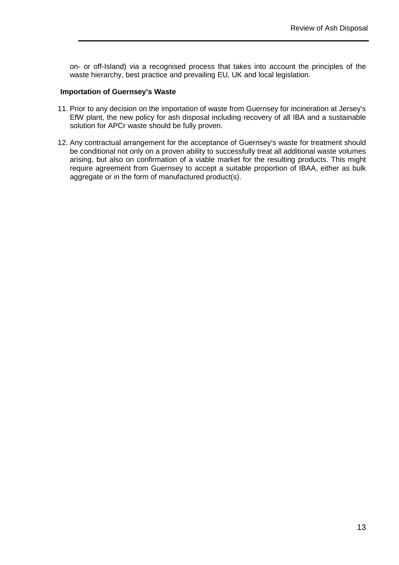on- or off-Island) via a recognised process that takes into account the principles of the waste hierarchy, best practice and prevailing EU, UK and local legislation.

# **Importation of Guernsey's Waste**

- 11. Prior to any decision on the importation of waste from Guernsey for incineration at Jersey's EfW plant, the new policy for ash disposal including recovery of all IBA and a sustainable solution for APCr waste should be fully proven.
- 12. Any contractual arrangement for the acceptance of Guernsey's waste for treatment should be conditional not only on a proven ability to successfully treat all additional waste volumes arising, but also on confirmation of a viable market for the resulting products. This might require agreement from Guernsey to accept a suitable proportion of IBAA, either as bulk aggregate or in the form of manufactured product(s).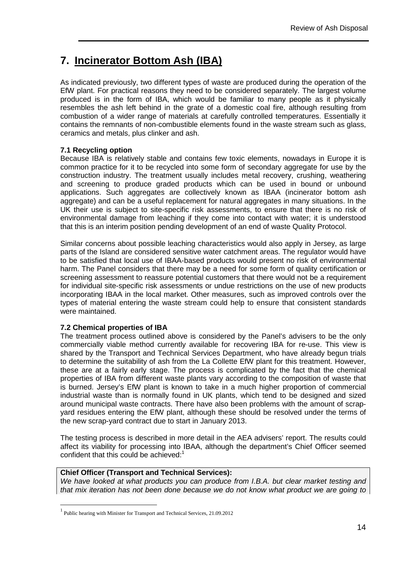# **7. Incinerator Bottom Ash (IBA)**

As indicated previously, two different types of waste are produced during the operation of the EfW plant. For practical reasons they need to be considered separately. The largest volume produced is in the form of IBA, which would be familiar to many people as it physically resembles the ash left behind in the grate of a domestic coal fire, although resulting from combustion of a wider range of materials at carefully controlled temperatures. Essentially it contains the remnants of non-combustible elements found in the waste stream such as glass, ceramics and metals, plus clinker and ash.

# **7.1 Recycling option**

Because IBA is relatively stable and contains few toxic elements, nowadays in Europe it is common practice for it to be recycled into some form of secondary aggregate for use by the construction industry. The treatment usually includes metal recovery, crushing, weathering and screening to produce graded products which can be used in bound or unbound applications. Such aggregates are collectively known as IBAA (incinerator bottom ash aggregate) and can be a useful replacement for natural aggregates in many situations. In the UK their use is subject to site-specific risk assessments, to ensure that there is no risk of environmental damage from leaching if they come into contact with water; it is understood that this is an interim position pending development of an end of waste Quality Protocol.

Similar concerns about possible leaching characteristics would also apply in Jersey, as large parts of the Island are considered sensitive water catchment areas. The regulator would have to be satisfied that local use of IBAA-based products would present no risk of environmental harm. The Panel considers that there may be a need for some form of quality certification or screening assessment to reassure potential customers that there would not be a requirement for individual site-specific risk assessments or undue restrictions on the use of new products incorporating IBAA in the local market. Other measures, such as improved controls over the types of material entering the waste stream could help to ensure that consistent standards were maintained.

# **7.2 Chemical properties of IBA**

The treatment process outlined above is considered by the Panel's advisers to be the only commercially viable method currently available for recovering IBA for re-use. This view is shared by the Transport and Technical Services Department, who have already begun trials to determine the suitability of ash from the La Collette EfW plant for this treatment. However, these are at a fairly early stage. The process is complicated by the fact that the chemical properties of IBA from different waste plants vary according to the composition of waste that is burned. Jersey's EfW plant is known to take in a much higher proportion of commercial industrial waste than is normally found in UK plants, which tend to be designed and sized around municipal waste contracts. There have also been problems with the amount of scrapyard residues entering the EfW plant, although these should be resolved under the terms of the new scrap-yard contract due to start in January 2013.

The testing process is described in more detail in the AEA advisers' report. The results could affect its viability for processing into IBAA, although the department's Chief Officer seemed confident that this could be achieved: $1$ 

# **Chief Officer (Transport and Technical Services):**

We have looked at what products you can produce from I.B.A. but clear market testing and that mix iteration has not been done because we do not know what product we are going to

<sup>&</sup>lt;sup>1</sup> Public hearing with Minister for Transport and Technical Services, 21.09.2012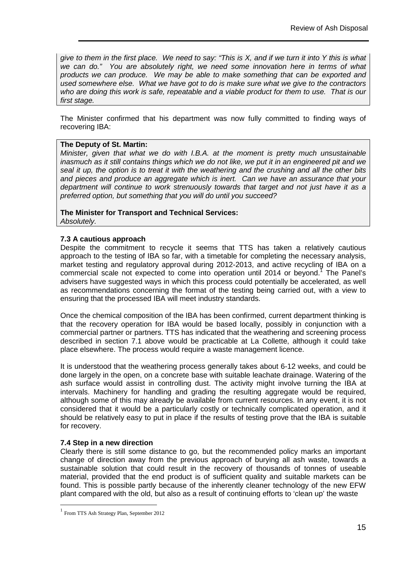give to them in the first place. We need to say: "This is X, and if we turn it into Y this is what we can do." You are absolutely right, we need some innovation here in terms of what products we can produce. We may be able to make something that can be exported and used somewhere else. What we have got to do is make sure what we give to the contractors who are doing this work is safe, repeatable and a viable product for them to use. That is our first stage.

The Minister confirmed that his department was now fully committed to finding ways of recovering IBA:

### **The Deputy of St. Martin:**

Minister, given that what we do with I.B.A. at the moment is pretty much unsustainable inasmuch as it still contains things which we do not like, we put it in an engineered pit and we seal it up, the option is to treat it with the weathering and the crushing and all the other bits and pieces and produce an aggregate which is inert. Can we have an assurance that your department will continue to work strenuously towards that target and not just have it as a preferred option, but something that you will do until you succeed?

**The Minister for Transport and Technical Services:**  Absolutely.

# **7.3 A cautious approach**

Despite the commitment to recycle it seems that TTS has taken a relatively cautious approach to the testing of IBA so far, with a timetable for completing the necessary analysis, market testing and regulatory approval during 2012-2013, and active recycling of IBA on a commercial scale not expected to come into operation until 2014 or beyond.<sup>1</sup> The Panel's advisers have suggested ways in which this process could potentially be accelerated, as well as recommendations concerning the format of the testing being carried out, with a view to ensuring that the processed IBA will meet industry standards.

Once the chemical composition of the IBA has been confirmed, current department thinking is that the recovery operation for IBA would be based locally, possibly in conjunction with a commercial partner or partners. TTS has indicated that the weathering and screening process described in section 7.1 above would be practicable at La Collette, although it could take place elsewhere. The process would require a waste management licence.

It is understood that the weathering process generally takes about 6-12 weeks, and could be done largely in the open, on a concrete base with suitable leachate drainage. Watering of the ash surface would assist in controlling dust. The activity might involve turning the IBA at intervals. Machinery for handling and grading the resulting aggregate would be required, although some of this may already be available from current resources. In any event, it is not considered that it would be a particularly costly or technically complicated operation, and it should be relatively easy to put in place if the results of testing prove that the IBA is suitable for recovery.

#### **7.4 Step in a new direction**

Clearly there is still some distance to go, but the recommended policy marks an important change of direction away from the previous approach of burying all ash waste, towards a sustainable solution that could result in the recovery of thousands of tonnes of useable material, provided that the end product is of sufficient quality and suitable markets can be found. This is possible partly because of the inherently cleaner technology of the new EFW plant compared with the old, but also as a result of continuing efforts to 'clean up' the waste

<sup>1</sup> From TTS Ash Strategy Plan, September 2012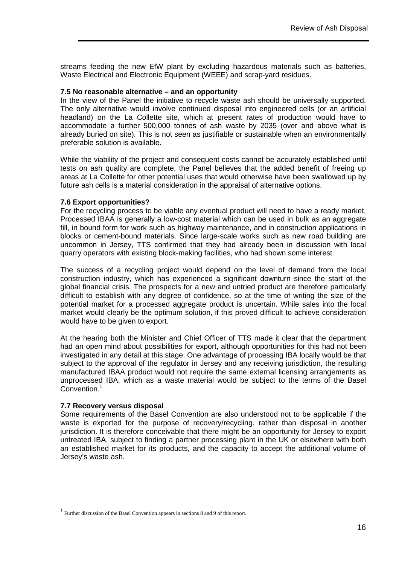streams feeding the new EfW plant by excluding hazardous materials such as batteries, Waste Electrical and Electronic Equipment (WEEE) and scrap-yard residues.

#### **7.5 No reasonable alternative – and an opportunity**

In the view of the Panel the initiative to recycle waste ash should be universally supported. The only alternative would involve continued disposal into engineered cells (or an artificial headland) on the La Collette site, which at present rates of production would have to accommodate a further 500,000 tonnes of ash waste by 2035 (over and above what is already buried on site). This is not seen as justifiable or sustainable when an environmentally preferable solution is available.

While the viability of the project and consequent costs cannot be accurately established until tests on ash quality are complete, the Panel believes that the added benefit of freeing up areas at La Collette for other potential uses that would otherwise have been swallowed up by future ash cells is a material consideration in the appraisal of alternative options.

# **7.6 Export opportunities?**

For the recycling process to be viable any eventual product will need to have a ready market. Processed IBAA is generally a low-cost material which can be used in bulk as an aggregate fill, in bound form for work such as highway maintenance, and in construction applications in blocks or cement-bound materials. Since large-scale works such as new road building are uncommon in Jersey, TTS confirmed that they had already been in discussion with local quarry operators with existing block-making facilities, who had shown some interest.

The success of a recycling project would depend on the level of demand from the local construction industry, which has experienced a significant downturn since the start of the global financial crisis. The prospects for a new and untried product are therefore particularly difficult to establish with any degree of confidence, so at the time of writing the size of the potential market for a processed aggregate product is uncertain. While sales into the local market would clearly be the optimum solution, if this proved difficult to achieve consideration would have to be given to export.

At the hearing both the Minister and Chief Officer of TTS made it clear that the department had an open mind about possibilities for export, although opportunities for this had not been investigated in any detail at this stage. One advantage of processing IBA locally would be that subject to the approval of the regulator in Jersey and any receiving jurisdiction, the resulting manufactured IBAA product would not require the same external licensing arrangements as unprocessed IBA, which as a waste material would be subject to the terms of the Basel Convention.<sup>1</sup>

#### **7.7 Recovery versus disposal**

 $\overline{a}$ 

Some requirements of the Basel Convention are also understood not to be applicable if the waste is exported for the purpose of recovery/recycling, rather than disposal in another jurisdiction. It is therefore conceivable that there might be an opportunity for Jersey to export untreated IBA, subject to finding a partner processing plant in the UK or elsewhere with both an established market for its products, and the capacity to accept the additional volume of Jersey's waste ash.

<sup>1</sup> Further discussion of the Basel Convention appears in sections 8 and 9 of this report.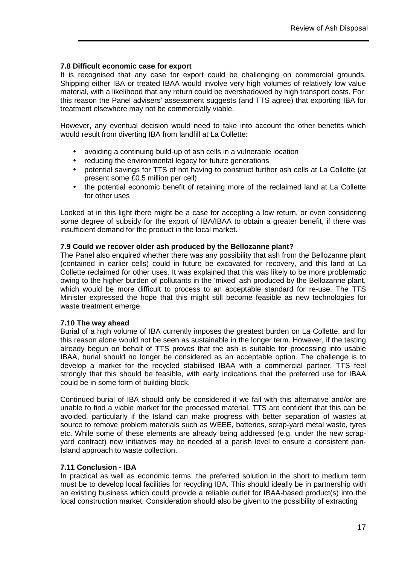# **7.8 Difficult economic case for export**

It is recognised that any case for export could be challenging on commercial grounds. Shipping either IBA or treated IBAA would involve very high volumes of relatively low value material, with a likelihood that any return could be overshadowed by high transport costs. For this reason the Panel advisers' assessment suggests (and TTS agree) that exporting IBA for treatment elsewhere may not be commercially viable.

However, any eventual decision would need to take into account the other benefits which would result from diverting IBA from landfill at La Collette:

- avoiding a continuing build-up of ash cells in a vulnerable location
- reducing the environmental legacy for future generations
- potential savings for TTS of not having to construct further ash cells at La Collette (at present some £0.5 million per cell)
- the potential economic benefit of retaining more of the reclaimed land at La Collette for other uses

Looked at in this light there might be a case for accepting a low return, or even considering some degree of subsidy for the export of IBA/IBAA to obtain a greater benefit, if there was insufficient demand for the product in the local market.

#### **7.9 Could we recover older ash produced by the Bellozanne plant?**

The Panel also enquired whether there was any possibility that ash from the Bellozanne plant (contained in earlier cells) could in future be excavated for recovery, and this land at La Collette reclaimed for other uses. It was explained that this was likely to be more problematic owing to the higher burden of pollutants in the 'mixed' ash produced by the Bellozanne plant, which would be more difficult to process to an acceptable standard for re-use. The TTS Minister expressed the hope that this might still become feasible as new technologies for waste treatment emerge.

#### **7.10 The way ahead**

Burial of a high volume of IBA currently imposes the greatest burden on La Collette, and for this reason alone would not be seen as sustainable in the longer term. However, if the testing already begun on behalf of TTS proves that the ash is suitable for processing into usable IBAA, burial should no longer be considered as an acceptable option. The challenge is to develop a market for the recycled stabilised IBAA with a commercial partner. TTS feel strongly that this should be feasible, with early indications that the preferred use for IBAA could be in some form of building block.

Continued burial of IBA should only be considered if we fail with this alternative and/or are unable to find a viable market for the processed material. TTS are confident that this can be avoided, particularly if the Island can make progress with better separation of wastes at source to remove problem materials such as WEEE, batteries, scrap-yard metal waste, tyres etc. While some of these elements are already being addressed (e.g. under the new scrapyard contract) new initiatives may be needed at a parish level to ensure a consistent pan-Island approach to waste collection.

# **7.11 Conclusion - IBA**

In practical as well as economic terms, the preferred solution in the short to medium term must be to develop local facilities for recycling IBA. This should ideally be in partnership with an existing business which could provide a reliable outlet for IBAA-based product(s) into the local construction market. Consideration should also be given to the possibility of extracting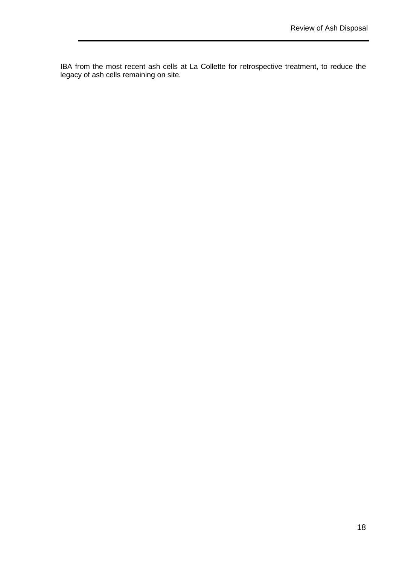IBA from the most recent ash cells at La Collette for retrospective treatment, to reduce the legacy of ash cells remaining on site.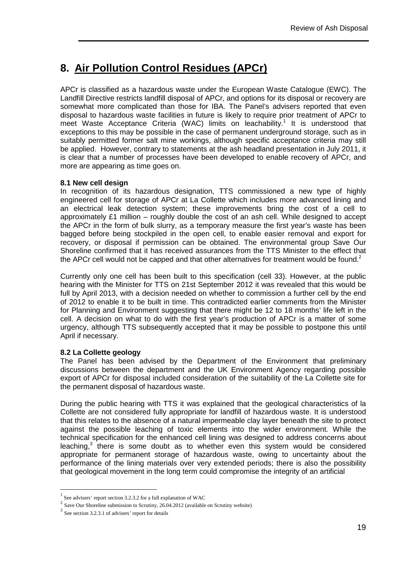# **8. Air Pollution Control Residues (APCr)**

APCr is classified as a hazardous waste under the European Waste Catalogue (EWC). The Landfill Directive restricts landfill disposal of APCr, and options for its disposal or recovery are somewhat more complicated than those for IBA. The Panel's advisers reported that even disposal to hazardous waste facilities in future is likely to require prior treatment of APCr to meet Waste Acceptance Criteria (WAC) limits on leachability.<sup>1</sup> It is understood that exceptions to this may be possible in the case of permanent underground storage, such as in suitably permitted former salt mine workings, although specific acceptance criteria may still be applied. However, contrary to statements at the ash headland presentation in July 2011, it is clear that a number of processes have been developed to enable recovery of APCr, and more are appearing as time goes on.

# **8.1 New cell design**

In recognition of its hazardous designation, TTS commissioned a new type of highly engineered cell for storage of APCr at La Collette which includes more advanced lining and an electrical leak detection system; these improvements bring the cost of a cell to approximately £1 million – roughly double the cost of an ash cell. While designed to accept the APCr in the form of bulk slurry, as a temporary measure the first year's waste has been bagged before being stockpiled in the open cell, to enable easier removal and export for recovery, or disposal if permission can be obtained. The environmental group Save Our Shoreline confirmed that it has received assurances from the TTS Minister to the effect that the APCr cell would not be capped and that other alternatives for treatment would be found.<sup>2</sup>

Currently only one cell has been built to this specification (cell 33). However, at the public hearing with the Minister for TTS on 21st September 2012 it was revealed that this would be full by April 2013, with a decision needed on whether to commission a further cell by the end of 2012 to enable it to be built in time. This contradicted earlier comments from the Minister for Planning and Environment suggesting that there might be 12 to 18 months' life left in the cell. A decision on what to do with the first year's production of APCr is a matter of some urgency, although TTS subsequently accepted that it may be possible to postpone this until April if necessary.

# **8.2 La Collette geology**

The Panel has been advised by the Department of the Environment that preliminary discussions between the department and the UK Environment Agency regarding possible export of APCr for disposal included consideration of the suitability of the La Collette site for the permanent disposal of hazardous waste.

During the public hearing with TTS it was explained that the geological characteristics of la Collette are not considered fully appropriate for landfill of hazardous waste. It is understood that this relates to the absence of a natural impermeable clay layer beneath the site to protect against the possible leaching of toxic elements into the wider environment. While the technical specification for the enhanced cell lining was designed to address concerns about leaching, $3$  there is some doubt as to whether even this system would be considered appropriate for permanent storage of hazardous waste, owing to uncertainty about the performance of the lining materials over very extended periods; there is also the possibility that geological movement in the long term could compromise the integrity of an artificial

<sup>1</sup> See advisers' report section 3.2.3.2 for a full explanation of WAC

 $2$  Save Our Shoreline submission to Scrutiny, 26.04.2012 (available on Scrutiny website)

 $3$  See section 3.2.3.1 of advisers' report for details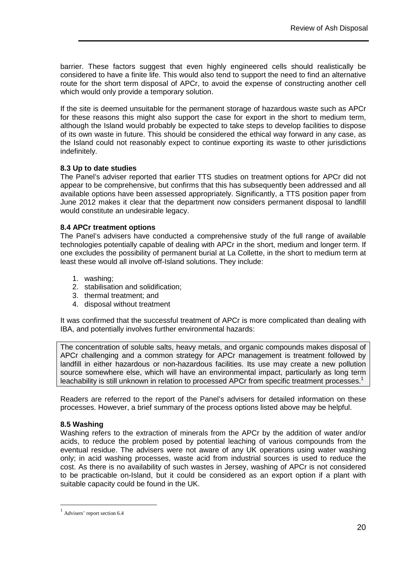barrier. These factors suggest that even highly engineered cells should realistically be considered to have a finite life. This would also tend to support the need to find an alternative route for the short term disposal of APCr, to avoid the expense of constructing another cell which would only provide a temporary solution.

If the site is deemed unsuitable for the permanent storage of hazardous waste such as APCr for these reasons this might also support the case for export in the short to medium term, although the Island would probably be expected to take steps to develop facilities to dispose of its own waste in future. This should be considered the ethical way forward in any case, as the Island could not reasonably expect to continue exporting its waste to other jurisdictions indefinitely.

# **8.3 Up to date studies**

The Panel's adviser reported that earlier TTS studies on treatment options for APCr did not appear to be comprehensive, but confirms that this has subsequently been addressed and all available options have been assessed appropriately. Significantly, a TTS position paper from June 2012 makes it clear that the department now considers permanent disposal to landfill would constitute an undesirable legacy.

#### **8.4 APCr treatment options**

The Panel's advisers have conducted a comprehensive study of the full range of available technologies potentially capable of dealing with APCr in the short, medium and longer term. If one excludes the possibility of permanent burial at La Collette, in the short to medium term at least these would all involve off-Island solutions. They include:

- 1. washing;
- 2. stabilisation and solidification;
- 3. thermal treatment; and
- 4. disposal without treatment

It was confirmed that the successful treatment of APCr is more complicated than dealing with IBA, and potentially involves further environmental hazards:

The concentration of soluble salts, heavy metals, and organic compounds makes disposal of APCr challenging and a common strategy for APCr management is treatment followed by landfill in either hazardous or non-hazardous facilities. Its use may create a new pollution source somewhere else, which will have an environmental impact, particularly as long term leachability is still unknown in relation to processed APCr from specific treatment processes.<sup>1</sup>

Readers are referred to the report of the Panel's advisers for detailed information on these processes. However, a brief summary of the process options listed above may be helpful.

# **8.5 Washing**

Washing refers to the extraction of minerals from the APCr by the addition of water and/or acids, to reduce the problem posed by potential leaching of various compounds from the eventual residue. The advisers were not aware of any UK operations using water washing only; in acid washing processes, waste acid from industrial sources is used to reduce the cost. As there is no availability of such wastes in Jersey, washing of APCr is not considered to be practicable on-Island, but it could be considered as an export option if a plant with suitable capacity could be found in the UK.

<sup>&</sup>lt;sup>1</sup> Advisers' report section 6.4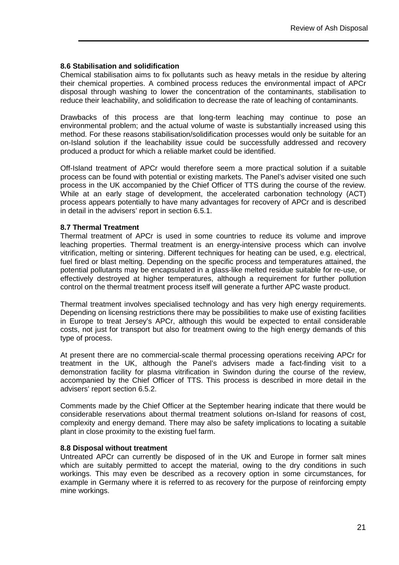# **8.6 Stabilisation and solidification**

Chemical stabilisation aims to fix pollutants such as heavy metals in the residue by altering their chemical properties. A combined process reduces the environmental impact of APCr disposal through washing to lower the concentration of the contaminants, stabilisation to reduce their leachability, and solidification to decrease the rate of leaching of contaminants.

Drawbacks of this process are that long-term leaching may continue to pose an environmental problem; and the actual volume of waste is substantially increased using this method. For these reasons stabilisation/solidification processes would only be suitable for an on-Island solution if the leachability issue could be successfully addressed and recovery produced a product for which a reliable market could be identified.

Off-Island treatment of APCr would therefore seem a more practical solution if a suitable process can be found with potential or existing markets. The Panel's adviser visited one such process in the UK accompanied by the Chief Officer of TTS during the course of the review. While at an early stage of development, the accelerated carbonation technology (ACT) process appears potentially to have many advantages for recovery of APCr and is described in detail in the advisers' report in section 6.5.1.

#### **8.7 Thermal Treatment**

Thermal treatment of APCr is used in some countries to reduce its volume and improve leaching properties. Thermal treatment is an energy-intensive process which can involve vitrification, melting or sintering. Different techniques for heating can be used, e.g. electrical, fuel fired or blast melting. Depending on the specific process and temperatures attained, the potential pollutants may be encapsulated in a glass-like melted residue suitable for re-use, or effectively destroyed at higher temperatures, although a requirement for further pollution control on the thermal treatment process itself will generate a further APC waste product.

Thermal treatment involves specialised technology and has very high energy requirements. Depending on licensing restrictions there may be possibilities to make use of existing facilities in Europe to treat Jersey's APCr, although this would be expected to entail considerable costs, not just for transport but also for treatment owing to the high energy demands of this type of process.

At present there are no commercial-scale thermal processing operations receiving APCr for treatment in the UK, although the Panel's advisers made a fact-finding visit to a demonstration facility for plasma vitrification in Swindon during the course of the review, accompanied by the Chief Officer of TTS. This process is described in more detail in the advisers' report section 6.5.2.

Comments made by the Chief Officer at the September hearing indicate that there would be considerable reservations about thermal treatment solutions on-Island for reasons of cost, complexity and energy demand. There may also be safety implications to locating a suitable plant in close proximity to the existing fuel farm.

#### **8.8 Disposal without treatment**

Untreated APCr can currently be disposed of in the UK and Europe in former salt mines which are suitably permitted to accept the material, owing to the dry conditions in such workings. This may even be described as a recovery option in some circumstances, for example in Germany where it is referred to as recovery for the purpose of reinforcing empty mine workings.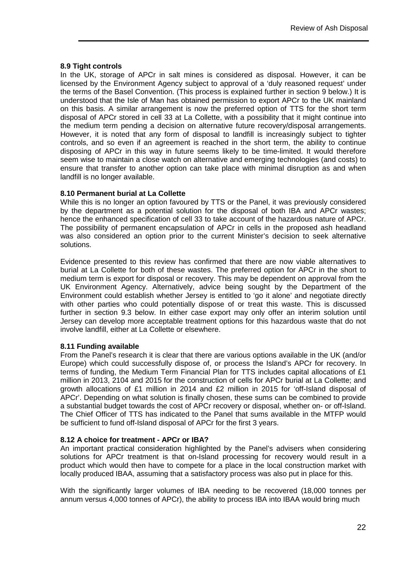# **8.9 Tight controls**

In the UK, storage of APCr in salt mines is considered as disposal. However, it can be licensed by the Environment Agency subject to approval of a 'duly reasoned request' under the terms of the Basel Convention. (This process is explained further in section 9 below.) It is understood that the Isle of Man has obtained permission to export APCr to the UK mainland on this basis. A similar arrangement is now the preferred option of TTS for the short term disposal of APCr stored in cell 33 at La Collette, with a possibility that it might continue into the medium term pending a decision on alternative future recovery/disposal arrangements. However, it is noted that any form of disposal to landfill is increasingly subject to tighter controls, and so even if an agreement is reached in the short term, the ability to continue disposing of APCr in this way in future seems likely to be time-limited. It would therefore seem wise to maintain a close watch on alternative and emerging technologies (and costs) to ensure that transfer to another option can take place with minimal disruption as and when landfill is no longer available.

# **8.10 Permanent burial at La Collette**

While this is no longer an option favoured by TTS or the Panel, it was previously considered by the department as a potential solution for the disposal of both IBA and APCr wastes; hence the enhanced specification of cell 33 to take account of the hazardous nature of APCr. The possibility of permanent encapsulation of APCr in cells in the proposed ash headland was also considered an option prior to the current Minister's decision to seek alternative solutions.

Evidence presented to this review has confirmed that there are now viable alternatives to burial at La Collette for both of these wastes. The preferred option for APCr in the short to medium term is export for disposal or recovery. This may be dependent on approval from the UK Environment Agency. Alternatively, advice being sought by the Department of the Environment could establish whether Jersey is entitled to 'go it alone' and negotiate directly with other parties who could potentially dispose of or treat this waste. This is discussed further in section 9.3 below. In either case export may only offer an interim solution until Jersey can develop more acceptable treatment options for this hazardous waste that do not involve landfill, either at La Collette or elsewhere.

# **8.11 Funding available**

From the Panel's research it is clear that there are various options available in the UK (and/or Europe) which could successfully dispose of, or process the Island's APCr for recovery. In terms of funding, the Medium Term Financial Plan for TTS includes capital allocations of £1 million in 2013, 2104 and 2015 for the construction of cells for APCr burial at La Collette; and growth allocations of £1 million in 2014 and £2 million in 2015 for 'off-Island disposal of APCr'. Depending on what solution is finally chosen, these sums can be combined to provide a substantial budget towards the cost of APCr recovery or disposal, whether on- or off-Island. The Chief Officer of TTS has indicated to the Panel that sums available in the MTFP would be sufficient to fund off-Island disposal of APCr for the first 3 years.

# **8.12 A choice for treatment - APCr or IBA?**

An important practical consideration highlighted by the Panel's advisers when considering solutions for APCr treatment is that on-Island processing for recovery would result in a product which would then have to compete for a place in the local construction market with locally produced IBAA, assuming that a satisfactory process was also put in place for this.

With the significantly larger volumes of IBA needing to be recovered (18,000 tonnes per annum versus 4,000 tonnes of APCr), the ability to process IBA into IBAA would bring much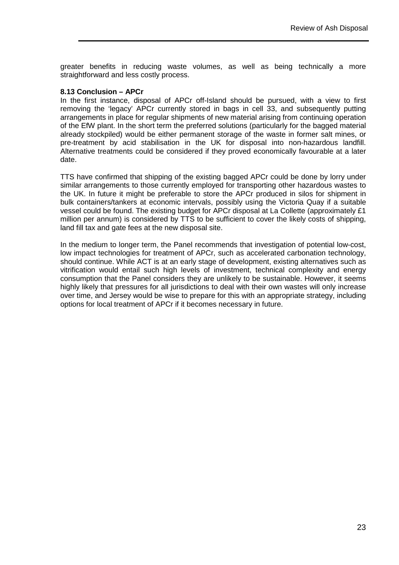greater benefits in reducing waste volumes, as well as being technically a more straightforward and less costly process.

## **8.13 Conclusion – APCr**

In the first instance, disposal of APCr off-Island should be pursued, with a view to first removing the 'legacy' APCr currently stored in bags in cell 33, and subsequently putting arrangements in place for regular shipments of new material arising from continuing operation of the EfW plant. In the short term the preferred solutions (particularly for the bagged material already stockpiled) would be either permanent storage of the waste in former salt mines, or pre-treatment by acid stabilisation in the UK for disposal into non-hazardous landfill. Alternative treatments could be considered if they proved economically favourable at a later date.

TTS have confirmed that shipping of the existing bagged APCr could be done by lorry under similar arrangements to those currently employed for transporting other hazardous wastes to the UK. In future it might be preferable to store the APCr produced in silos for shipment in bulk containers/tankers at economic intervals, possibly using the Victoria Quay if a suitable vessel could be found. The existing budget for APCr disposal at La Collette (approximately £1 million per annum) is considered by TTS to be sufficient to cover the likely costs of shipping, land fill tax and gate fees at the new disposal site.

In the medium to longer term, the Panel recommends that investigation of potential low-cost, low impact technologies for treatment of APCr, such as accelerated carbonation technology, should continue. While ACT is at an early stage of development, existing alternatives such as vitrification would entail such high levels of investment, technical complexity and energy consumption that the Panel considers they are unlikely to be sustainable. However, it seems highly likely that pressures for all jurisdictions to deal with their own wastes will only increase over time, and Jersey would be wise to prepare for this with an appropriate strategy, including options for local treatment of APCr if it becomes necessary in future.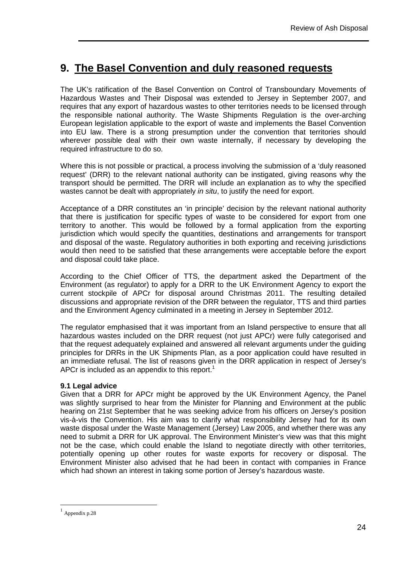# **9. The Basel Convention and duly reasoned requests**

The UK's ratification of the Basel Convention on Control of Transboundary Movements of Hazardous Wastes and Their Disposal was extended to Jersey in September 2007, and requires that any export of hazardous wastes to other territories needs to be licensed through the responsible national authority. The Waste Shipments Regulation is the over-arching European legislation applicable to the export of waste and implements the Basel Convention into EU law. There is a strong presumption under the convention that territories should wherever possible deal with their own waste internally, if necessary by developing the required infrastructure to do so.

Where this is not possible or practical, a process involving the submission of a 'duly reasoned request' (DRR) to the relevant national authority can be instigated, giving reasons why the transport should be permitted. The DRR will include an explanation as to why the specified wastes cannot be dealt with appropriately in situ, to justify the need for export.

Acceptance of a DRR constitutes an 'in principle' decision by the relevant national authority that there is justification for specific types of waste to be considered for export from one territory to another. This would be followed by a formal application from the exporting jurisdiction which would specify the quantities, destinations and arrangements for transport and disposal of the waste. Regulatory authorities in both exporting and receiving jurisdictions would then need to be satisfied that these arrangements were acceptable before the export and disposal could take place.

According to the Chief Officer of TTS, the department asked the Department of the Environment (as regulator) to apply for a DRR to the UK Environment Agency to export the current stockpile of APCr for disposal around Christmas 2011. The resulting detailed discussions and appropriate revision of the DRR between the regulator, TTS and third parties and the Environment Agency culminated in a meeting in Jersey in September 2012.

The regulator emphasised that it was important from an Island perspective to ensure that all hazardous wastes included on the DRR request (not just APCr) were fully categorised and that the request adequately explained and answered all relevant arguments under the guiding principles for DRRs in the UK Shipments Plan, as a poor application could have resulted in an immediate refusal. The list of reasons given in the DRR application in respect of Jersey's APCr is included as an appendix to this report.<sup>1</sup>

# **9.1 Legal advice**

Given that a DRR for APCr might be approved by the UK Environment Agency, the Panel was slightly surprised to hear from the Minister for Planning and Environment at the public hearing on 21st September that he was seeking advice from his officers on Jersey's position vis-à-vis the Convention. His aim was to clarify what responsibility Jersey had for its own waste disposal under the Waste Management (Jersey) Law 2005, and whether there was any need to submit a DRR for UK approval. The Environment Minister's view was that this might not be the case, which could enable the Island to negotiate directly with other territories, potentially opening up other routes for waste exports for recovery or disposal. The Environment Minister also advised that he had been in contact with companies in France which had shown an interest in taking some portion of Jersey's hazardous waste.

<sup>1</sup> Appendix p.28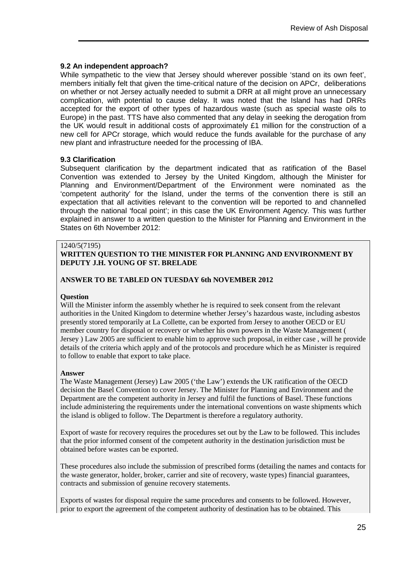# **9.2 An independent approach?**

While sympathetic to the view that Jersey should wherever possible 'stand on its own feet', members initially felt that given the time-critical nature of the decision on APCr, deliberations on whether or not Jersey actually needed to submit a DRR at all might prove an unnecessary complication, with potential to cause delay. It was noted that the Island has had DRRs accepted for the export of other types of hazardous waste (such as special waste oils to Europe) in the past. TTS have also commented that any delay in seeking the derogation from the UK would result in additional costs of approximately £1 million for the construction of a new cell for APCr storage, which would reduce the funds available for the purchase of any new plant and infrastructure needed for the processing of IBA.

# **9.3 Clarification**

Subsequent clarification by the department indicated that as ratification of the Basel Convention was extended to Jersey by the United Kingdom, although the Minister for Planning and Environment/Department of the Environment were nominated as the 'competent authority' for the Island, under the terms of the convention there is still an expectation that all activities relevant to the convention will be reported to and channelled through the national 'focal point'; in this case the UK Environment Agency. This was further explained in answer to a written question to the Minister for Planning and Environment in the States on 6th November 2012:

# 1240/5(7195)

**WRITTEN QUESTION TO THE MINISTER FOR PLANNING AND ENVIRONMENT BY DEPUTY J.H. YOUNG OF ST. BRELADE** 

#### **ANSWER TO BE TABLED ON TUESDAY 6th NOVEMBER 2012**

#### **Question**

Will the Minister inform the assembly whether he is required to seek consent from the relevant authorities in the United Kingdom to determine whether Jersey's hazardous waste, including asbestos presently stored temporarily at La Collette, can be exported from Jersey to another OECD or EU member country for disposal or recovery or whether his own powers in the Waste Management ( Jersey ) Law 2005 are sufficient to enable him to approve such proposal, in either case , will he provide details of the criteria which apply and of the protocols and procedure which he as Minister is required to follow to enable that export to take place.

#### **Answer**

The Waste Management (Jersey) Law 2005 ('the Law') extends the UK ratification of the OECD decision the Basel Convention to cover Jersey. The Minister for Planning and Environment and the Department are the competent authority in Jersey and fulfil the functions of Basel. These functions include administering the requirements under the international conventions on waste shipments which the island is obliged to follow. The Department is therefore a regulatory authority.

Export of waste for recovery requires the procedures set out by the Law to be followed. This includes that the prior informed consent of the competent authority in the destination jurisdiction must be obtained before wastes can be exported.

These procedures also include the submission of prescribed forms (detailing the names and contacts for the waste generator, holder, broker, carrier and site of recovery, waste types) financial guarantees, contracts and submission of genuine recovery statements.

Exports of wastes for disposal require the same procedures and consents to be followed. However, prior to export the agreement of the competent authority of destination has to be obtained. This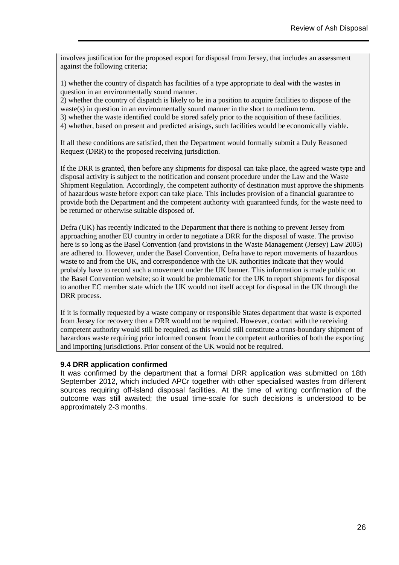involves justification for the proposed export for disposal from Jersey, that includes an assessment against the following criteria;

1) whether the country of dispatch has facilities of a type appropriate to deal with the wastes in question in an environmentally sound manner.

2) whether the country of dispatch is likely to be in a position to acquire facilities to dispose of the waste(s) in question in an environmentally sound manner in the short to medium term. 3) whether the waste identified could be stored safely prior to the acquisition of these facilities.

4) whether, based on present and predicted arisings, such facilities would be economically viable.

If all these conditions are satisfied, then the Department would formally submit a Duly Reasoned Request (DRR) to the proposed receiving jurisdiction.

If the DRR is granted, then before any shipments for disposal can take place, the agreed waste type and disposal activity is subject to the notification and consent procedure under the Law and the Waste Shipment Regulation. Accordingly, the competent authority of destination must approve the shipments of hazardous waste before export can take place. This includes provision of a financial guarantee to provide both the Department and the competent authority with guaranteed funds, for the waste need to be returned or otherwise suitable disposed of.

Defra (UK) has recently indicated to the Department that there is nothing to prevent Jersey from approaching another EU country in order to negotiate a DRR for the disposal of waste. The proviso here is so long as the Basel Convention (and provisions in the Waste Management (Jersey) Law 2005) are adhered to. However, under the Basel Convention, Defra have to report movements of hazardous waste to and from the UK, and correspondence with the UK authorities indicate that they would probably have to record such a movement under the UK banner. This information is made public on the Basel Convention website; so it would be problematic for the UK to report shipments for disposal to another EC member state which the UK would not itself accept for disposal in the UK through the DRR process.

If it is formally requested by a waste company or responsible States department that waste is exported from Jersey for recovery then a DRR would not be required. However, contact with the receiving competent authority would still be required, as this would still constitute a trans-boundary shipment of hazardous waste requiring prior informed consent from the competent authorities of both the exporting and importing jurisdictions. Prior consent of the UK would not be required.

#### **9.4 DRR application confirmed**

It was confirmed by the department that a formal DRR application was submitted on 18th September 2012, which included APCr together with other specialised wastes from different sources requiring off-Island disposal facilities. At the time of writing confirmation of the outcome was still awaited; the usual time-scale for such decisions is understood to be approximately 2-3 months.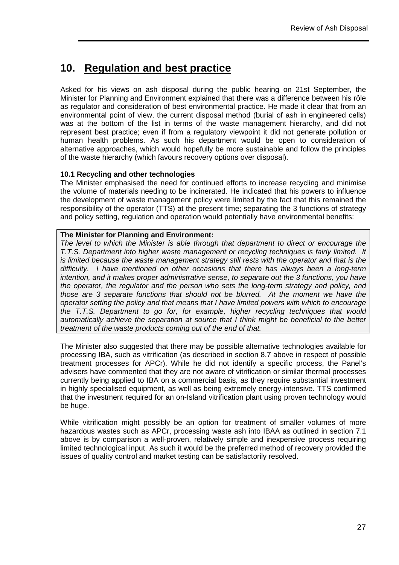# **10. Regulation and best practice**

Asked for his views on ash disposal during the public hearing on 21st September, the Minister for Planning and Environment explained that there was a difference between his rôle as regulator and consideration of best environmental practice. He made it clear that from an environmental point of view, the current disposal method (burial of ash in engineered cells) was at the bottom of the list in terms of the waste management hierarchy, and did not represent best practice; even if from a regulatory viewpoint it did not generate pollution or human health problems. As such his department would be open to consideration of alternative approaches, which would hopefully be more sustainable and follow the principles of the waste hierarchy (which favours recovery options over disposal).

# **10.1 Recycling and other technologies**

The Minister emphasised the need for continued efforts to increase recycling and minimise the volume of materials needing to be incinerated. He indicated that his powers to influence the development of waste management policy were limited by the fact that this remained the responsibility of the operator (TTS) at the present time; separating the 3 functions of strategy and policy setting, regulation and operation would potentially have environmental benefits:

# **The Minister for Planning and Environment:**

The level to which the Minister is able through that department to direct or encourage the T.T.S. Department into higher waste management or recycling techniques is fairly limited. It is limited because the waste management strategy still rests with the operator and that is the difficulty. I have mentioned on other occasions that there has always been a long-term intention, and it makes proper administrative sense, to separate out the 3 functions, you have the operator, the regulator and the person who sets the long-term strategy and policy, and those are 3 separate functions that should not be blurred. At the moment we have the operator setting the policy and that means that I have limited powers with which to encourage the T.T.S. Department to go for, for example, higher recycling techniques that would automatically achieve the separation at source that  $\overline{I}$  think might be beneficial to the better treatment of the waste products coming out of the end of that.

The Minister also suggested that there may be possible alternative technologies available for processing IBA, such as vitrification (as described in section 8.7 above in respect of possible treatment processes for APCr). While he did not identify a specific process, the Panel's advisers have commented that they are not aware of vitrification or similar thermal processes currently being applied to IBA on a commercial basis, as they require substantial investment in highly specialised equipment, as well as being extremely energy-intensive. TTS confirmed that the investment required for an on-Island vitrification plant using proven technology would be huge.

While vitrification might possibly be an option for treatment of smaller volumes of more hazardous wastes such as APCr, processing waste ash into IBAA as outlined in section 7.1 above is by comparison a well-proven, relatively simple and inexpensive process requiring limited technological input. As such it would be the preferred method of recovery provided the issues of quality control and market testing can be satisfactorily resolved.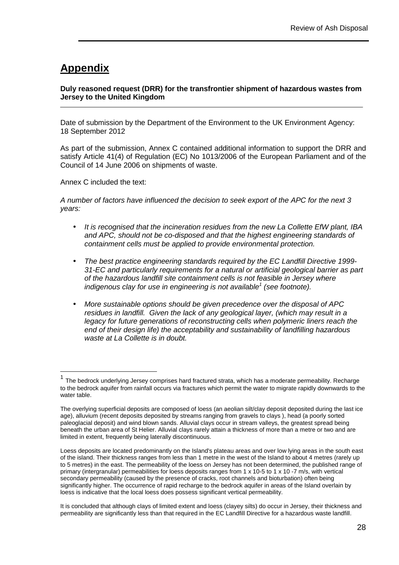# **Appendix**

# **Duly reasoned request (DRR) for the transfrontier shipment of hazardous wastes from Jersey to the United Kingdom**

Date of submission by the Department of the Environment to the UK Environment Agency: 18 September 2012

As part of the submission, Annex C contained additional information to support the DRR and satisfy Article 41(4) of Regulation (EC) No 1013/2006 of the European Parliament and of the Council of 14 June 2006 on shipments of waste.

Annex C included the text:

 $\overline{a}$ 

A number of factors have influenced the decision to seek export of the APC for the next 3 years:

- It is recognised that the incineration residues from the new La Collette EfW plant, IBA and APC, should not be co-disposed and that the highest engineering standards of containment cells must be applied to provide environmental protection.
- The best practice engineering standards required by the EC Landfill Directive 1999- 31-EC and particularly requirements for a natural or artificial geological barrier as part of the hazardous landfill site containment cells is not feasible in Jersey where indigenous clay for use in engineering is not available<sup>1</sup> (see footnote).
- More sustainable options should be given precedence over the disposal of APC residues in landfill. Given the lack of any geological layer, (which may result in a legacy for future generations of reconstructing cells when polymeric liners reach the end of their design life) the acceptability and sustainability of landfilling hazardous waste at La Collette is in doubt.

<sup>&</sup>lt;sup>1</sup> The bedrock underlying Jersey comprises hard fractured strata, which has a moderate permeability. Recharge to the bedrock aquifer from rainfall occurs via fractures which permit the water to migrate rapidly downwards to the water table.

The overlying superficial deposits are composed of loess (an aeolian silt/clay deposit deposited during the last ice age), alluvium (recent deposits deposited by streams ranging from gravels to clays ), head (a poorly sorted paleoglacial deposit) and wind blown sands. Alluvial clays occur in stream valleys, the greatest spread being beneath the urban area of St Helier. Alluvial clays rarely attain a thickness of more than a metre or two and are limited in extent, frequently being laterally discontinuous.

Loess deposits are located predominantly on the Island's plateau areas and over low lying areas in the south east of the island. Their thickness ranges from less than 1 metre in the west of the Island to about 4 metres (rarely up to 5 metres) in the east. The permeability of the loess on Jersey has not been determined, the published range of primary (intergranular) permeabilities for loess deposits ranges from 1 x 10-5 to 1 x 10 -7 m/s, with vertical secondary permeability (caused by the presence of cracks, root channels and bioturbation) often being significantly higher. The occurrence of rapid recharge to the bedrock aquifer in areas of the Island overlain by loess is indicative that the local loess does possess significant vertical permeability.

It is concluded that although clays of limited extent and loess (clayey silts) do occur in Jersey, their thickness and permeability are significantly less than that required in the EC Landfill Directive for a hazardous waste landfill.